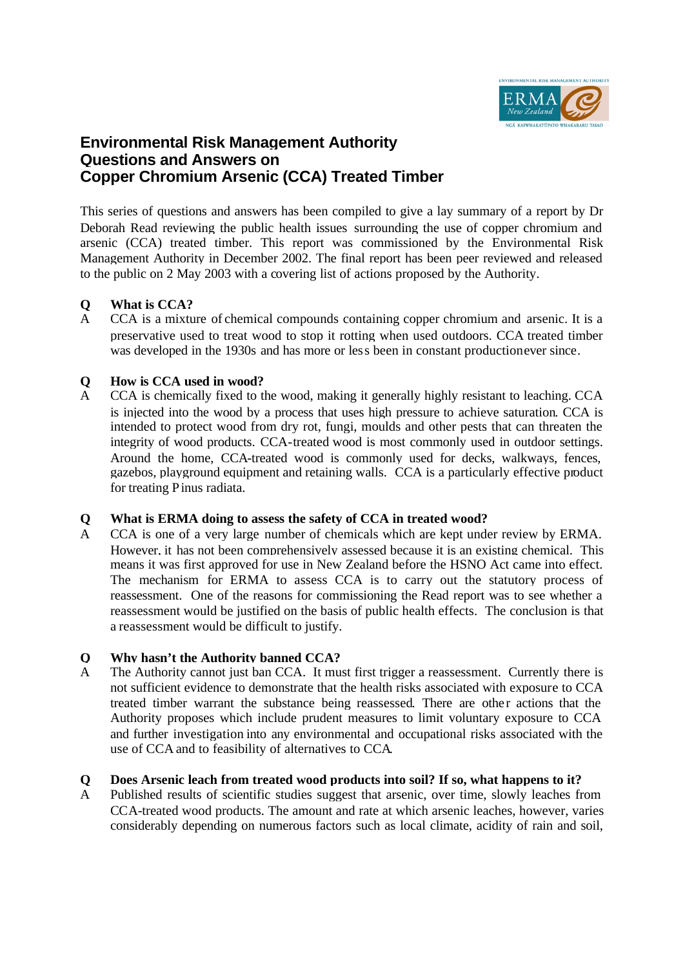

# **Environmental Risk Management Authority Questions and Answers on Copper Chromium Arsenic (CCA) Treated Timber**

This series of questions and answers has been compiled to give a lay summary of a report by Dr Deborah Read reviewing the public health issues surrounding the use of copper chromium and arsenic (CCA) treated timber. This report was commissioned by the Environmental Risk Management Authority in December 2002. The final report has been peer reviewed and released to the public on 2 May 2003 with a covering list of actions proposed by the Authority.

### **Q What is CCA?**

A CCA is a mixture of chemical compounds containing copper chromium and arsenic. It is a preservative used to treat wood to stop it rotting when used outdoors. CCA treated timber was developed in the 1930s and has more or less been in constant productionever since.

### **Q How is CCA used in wood?**

A CCA is chemically fixed to the wood, making it generally highly resistant to leaching. CCA is injected into the wood by a process that uses high pressure to achieve saturation. CCA is intended to protect wood from dry rot, fungi, moulds and other pests that can threaten the integrity of wood products. CCA-treated wood is most commonly used in outdoor settings. Around the home, CCA-treated wood is commonly used for decks, walkways, fences, gazebos, playground equipment and retaining walls. CCA is a particularly effective product for treating Pinus radiata.

#### **Q What is ERMA doing to assess the safety of CCA in treated wood?**

A CCA is one of a very large number of chemicals which are kept under review by ERMA. However, it has not been comprehensively assessed because it is an existing chemical. This means it was first approved for use in New Zealand before the HSNO Act came into effect. The mechanism for ERMA to assess CCA is to carry out the statutory process of reassessment. One of the reasons for commissioning the Read report was to see whether a reassessment would be justified on the basis of public health effects. The conclusion is that a reassessment would be difficult to justify.

# **Q Why hasn't the Authority banned CCA?**

A The Authority cannot just ban CCA. It must first trigger a reassessment. Currently there is not sufficient evidence to demonstrate that the health risks associated with exposure to CCA treated timber warrant the substance being reassessed. There are other actions that the Authority proposes which include prudent measures to limit voluntary exposure to CCA and further investigation into any environmental and occupational risks associated with the use of CCA and to feasibility of alternatives to CCA.

#### **Q Does Arsenic leach from treated wood products into soil? If so, what happens to it?**

A Published results of scientific studies suggest that arsenic, over time, slowly leaches from CCA-treated wood products. The amount and rate at which arsenic leaches, however, varies considerably depending on numerous factors such as local climate, acidity of rain and soil,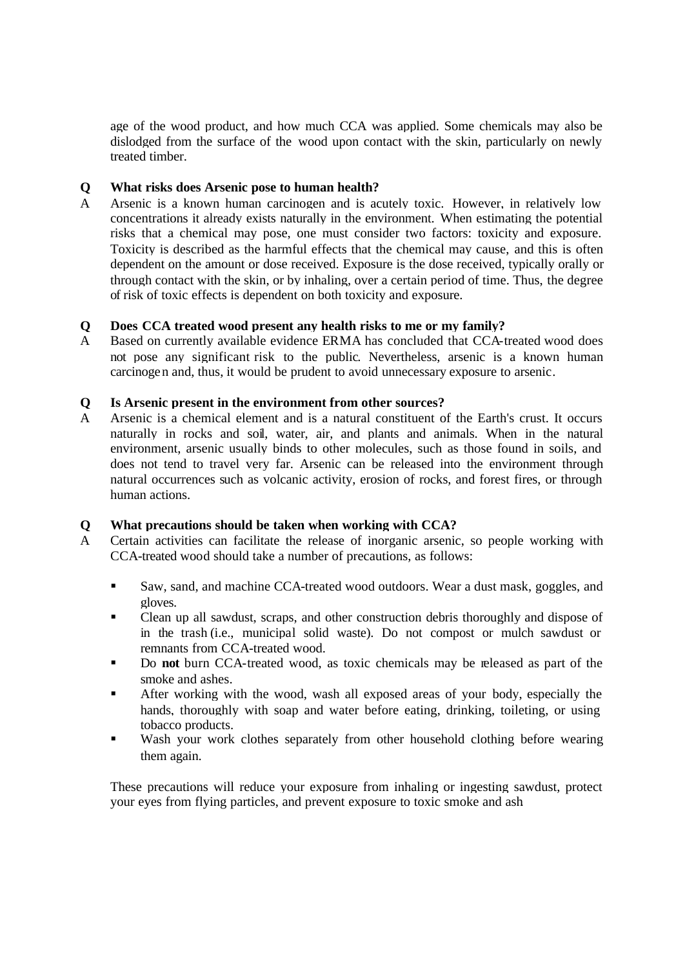age of the wood product, and how much CCA was applied. Some chemicals may also be dislodged from the surface of the wood upon contact with the skin, particularly on newly treated timber.

### **Q What risks does Arsenic pose to human health?**

A Arsenic is a known human carcinogen and is acutely toxic. However, in relatively low concentrations it already exists naturally in the environment. When estimating the potential risks that a chemical may pose, one must consider two factors: toxicity and exposure. Toxicity is described as the harmful effects that the chemical may cause, and this is often dependent on the amount or dose received. Exposure is the dose received, typically orally or through contact with the skin, or by inhaling, over a certain period of time. Thus, the degree of risk of toxic effects is dependent on both toxicity and exposure.

### **Q Does CCA treated wood present any health risks to me or my family?**

A Based on currently available evidence ERMA has concluded that CCA-treated wood does not pose any significant risk to the public. Nevertheless, arsenic is a known human carcinogen and, thus, it would be prudent to avoid unnecessary exposure to arsenic.

### **Q Is Arsenic present in the environment from other sources?**

A Arsenic is a chemical element and is a natural constituent of the Earth's crust. It occurs naturally in rocks and soil, water, air, and plants and animals. When in the natural environment, arsenic usually binds to other molecules, such as those found in soils, and does not tend to travel very far. Arsenic can be released into the environment through natural occurrences such as volcanic activity, erosion of rocks, and forest fires, or through human actions.

# **Q What precautions should be taken when working with CCA?**

- A Certain activities can facilitate the release of inorganic arsenic, so people working with CCA-treated wood should take a number of precautions, as follows:
	- ß Saw, sand, and machine CCA-treated wood outdoors. Wear a dust mask, goggles, and gloves.
	- Clean up all sawdust, scraps, and other construction debris thoroughly and dispose of in the trash (i.e., municipal solid waste). Do not compost or mulch sawdust or remnants from CCA-treated wood.
	- ß Do **not** burn CCA-treated wood, as toxic chemicals may be released as part of the smoke and ashes.
	- ß After working with the wood, wash all exposed areas of your body, especially the hands, thoroughly with soap and water before eating, drinking, toileting, or using tobacco products.
	- Wash your work clothes separately from other household clothing before wearing them again.

These precautions will reduce your exposure from inhaling or ingesting sawdust, protect your eyes from flying particles, and prevent exposure to toxic smoke and ash.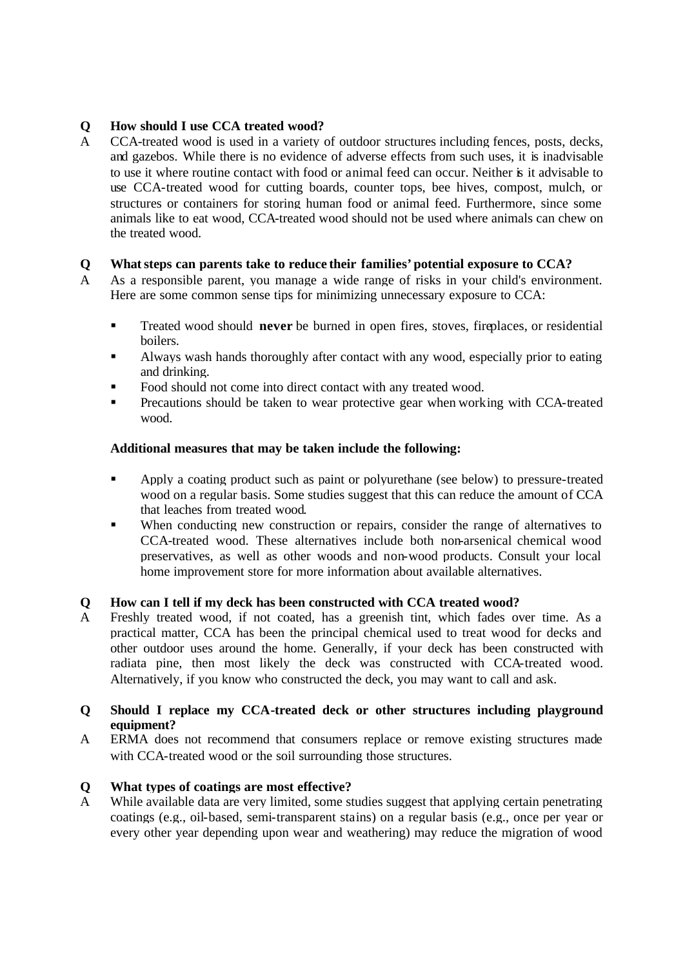# **Q How should I use CCA treated wood?**

A CCA-treated wood is used in a variety of outdoor structures including fences, posts, decks, and gazebos. While there is no evidence of adverse effects from such uses, it is inadvisable to use it where routine contact with food or animal feed can occur. Neither is it advisable to use CCA-treated wood for cutting boards, counter tops, bee hives, compost, mulch, or structures or containers for storing human food or animal feed. Furthermore, since some animals like to eat wood, CCA-treated wood should not be used where animals can chew on the treated wood.

# **Q What steps can parents take to reduce their families' potential exposure to CCA?**

- A As a responsible parent, you manage a wide range of risks in your child's environment. Here are some common sense tips for minimizing unnecessary exposure to CCA:
	- ß Treated wood should **never** be burned in open fires, stoves, fireplaces, or residential boilers.
	- ß Always wash hands thoroughly after contact with any wood, especially prior to eating and drinking.
	- ß Food should not come into direct contact with any treated wood.
	- ß Precautions should be taken to wear protective gear when working with CCA-treated wood.

# **Additional measures that may be taken include the following:**

- **•** Apply a coating product such as paint or polyurethane (see below) to pressure-treated wood on a regular basis. Some studies suggest that this can reduce the amount of CCA that leaches from treated wood.
- When conducting new construction or repairs, consider the range of alternatives to CCA-treated wood. These alternatives include both non-arsenical chemical wood preservatives, as well as other woods and non-wood products. Consult your local home improvement store for more information about available alternatives.

# **Q How can I tell if my deck has been constructed with CCA treated wood?**

A Freshly treated wood, if not coated, has a greenish tint, which fades over time. As a practical matter, CCA has been the principal chemical used to treat wood for decks and other outdoor uses around the home. Generally, if your deck has been constructed with radiata pine, then most likely the deck was constructed with CCA-treated wood. Alternatively, if you know who constructed the deck, you may want to call and ask.

### **Q Should I replace my CCA-treated deck or other structures including playground equipment?**

A ERMA does not recommend that consumers replace or remove existing structures made with CCA-treated wood or the soil surrounding those structures.

# **Q What types of coatings are most effective?**

A While available data are very limited, some studies suggest that applying certain penetrating coatings (e.g., oil-based, semi-transparent stains) on a regular basis (e.g., once per year or every other year depending upon wear and weathering) may reduce the migration of wood